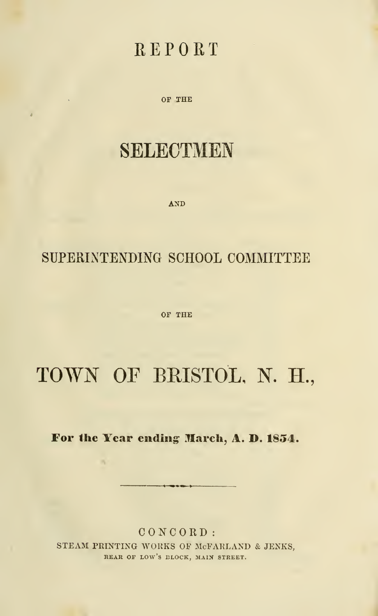## REPORT

OF THE

## **SELECTMEN**

AND

### SUPERINTENDING SCHOOL COMMITTEE

OP THE

# TOWN OF BRISTOL, N. H.,

For the Tear ending March, A. D. 1854.

ĸ

CONCORD :

 $\frac{1}{2}$ 

STEAM PRINTING WORKS OF MCFARLAND & JENKS, REAR OF LOW'S BLOCK, MAIN STREET.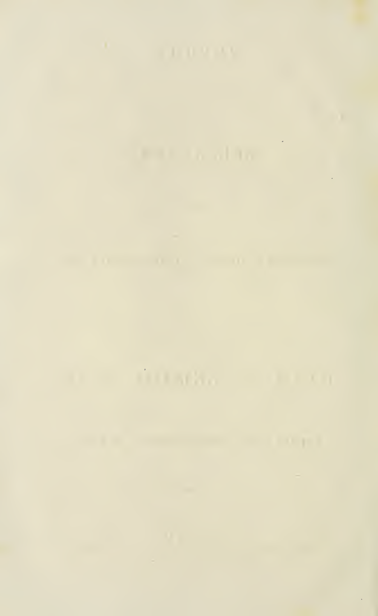÷,

# **DOMA** COLOR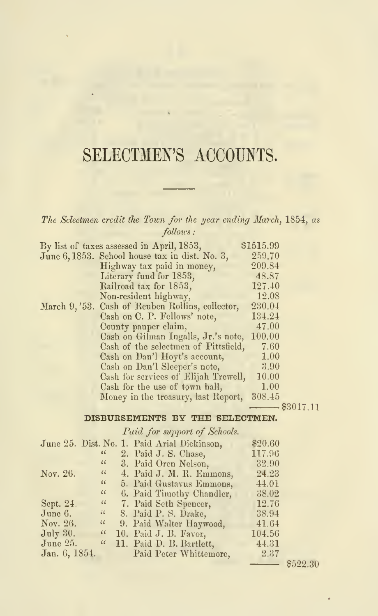## SELECTMEN'S ACCOUNTS.

### The Scleetmen credit the Town for the year ending March, 1854, as follows:

| By list of taxes assessed in April, 1853,        | \$1515.99 |
|--------------------------------------------------|-----------|
| June 6, 1853. School house tax in dist. No. 3,   | 259.70    |
| Highway tax paid in money,                       | 209.84    |
| Literary fund for 1853,                          | 48.87     |
| Railroad tax for 1853,                           | 127.40    |
| Non-resident highway,                            | 12.08     |
| March 9, '53. Cash of Reuben Rollins, eollector, | 230.04    |
| Cash on C. P. Fellows' note,                     | 134.24    |
| County pauper claim,                             | 47.00     |
| Cash on Gilman Ingalls, Jr.'s note,              | 100.00    |
| Cash of the selectmen of Pittsfield,             | 7.60      |
| Cash on Dan'l Hoyt's account,                    | 1.00      |
| Cash on Dan'l Sleeper's note,                    | 3.90      |
| Cash for services of Elijah Trewell,             | 10.00     |
| Cash for the use of town hall,                   | 1.00      |
| Money in the treasury, last Report,              | 308.45    |
|                                                  | \$3017.11 |

### DISBURSEMENTS BY THE SELECTMEN.

Paid for support of Schools.

|               |                    | June 25. Dist. No. 1. Paid Arial Diekinson, | \$20.60 |                      |
|---------------|--------------------|---------------------------------------------|---------|----------------------|
|               | $\epsilon\epsilon$ | 2. Paid J. S. Chase,                        | 117.96  |                      |
|               | 66                 | 3. Paid Oren Nelson,                        | 32.90   |                      |
| Nov. 26.      | 66                 | 4. Paid J. M. R. Emmons,                    | 24.23   |                      |
|               | 66                 | 5. Paid Gustavus Emmons,                    | 44.01   |                      |
|               | 66                 | 6. Paid Timothy Chandler,                   | 38.02   |                      |
| Sept. 24.     | $66 -$             | 7. Paid Seth Spencer,                       | 12.76   |                      |
| June 6.       | 46                 | 8. Paid P. S. Drake,                        | 38.94   |                      |
| Nov. 26.      | 66                 | 9. Paid Walter Haywood,                     | 41.64   |                      |
| July 30.      | 66 <sub>1</sub>    | 10. Paid J. B. Favor,                       | 104.56  |                      |
| June $25.$    |                    | " 11. Paid D. B. Bartlett,                  | 44.31   |                      |
| Jan. 6, 1854. |                    | Paid Peter Whittemore,                      | 2.37    |                      |
|               |                    |                                             |         | $\sim$ $\sim$ $\sim$ |

\$522.30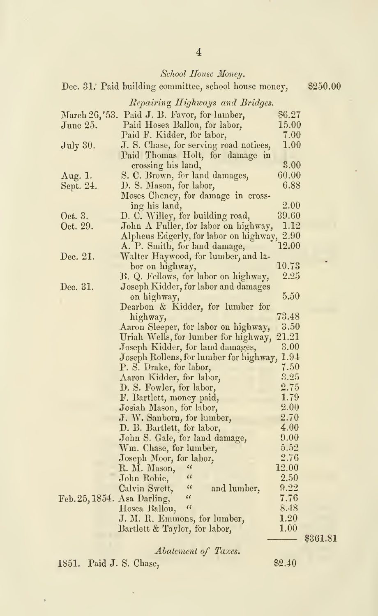### School House Money.

Dec. 31. Paid building committee, school house money,

\$250.00

 $\mathbb{R}$ 

### Repairing Highways and Bridges.

|                             | March 26,'53. Paid J. B. Favor, for lumber, | \$6.27   |          |
|-----------------------------|---------------------------------------------|----------|----------|
| June $25.$                  | Paid Hosea Ballou, for labor,               | 15.00    |          |
|                             | Paid F. Kidder, for labor,                  | 7.00     |          |
| July 30.                    | J. S. Chase, for serving road notices,      | 1.00     |          |
|                             | Paid Thomas Holt, for damage in             |          |          |
|                             | crossing his land,                          | $3.00\,$ |          |
| Aug. 1.                     | S. C. Brown, for land damages,              | 60.00    |          |
| Sept. 24.                   | D. S. Mason, for labor,                     | 6.88     |          |
|                             | Moses Cheney, for damage in cross-          |          |          |
|                             | ing his land,                               | $2.00\,$ |          |
| Oct. 3.                     | D. C. Willey, for building road,            | 39.60    |          |
| Oct. 29.                    | John A Fuller, for labor on highway,        | 1.12     |          |
|                             | Alpheus Edgerly, for labor on highway,      | 2.90     |          |
|                             | A. P. Smith, for land damage,               | 12.00    |          |
| Dec. 21.                    | Walter Haywood, for lumber, and la-         |          |          |
|                             | bor on highway,                             | 10.73    |          |
|                             | B. Q. Fellows, for labor on highway,        | 2.25     |          |
| Dec. 31.                    | Joseph Kidder, for labor and damages        |          |          |
|                             | on highway,                                 | 5.50     |          |
|                             | Dearbon & Kidder, for lumber for            |          |          |
|                             | highway,                                    | 73.48    |          |
|                             | Aaron Sleeper, for labor on highway,        | 3.50     |          |
|                             | Uriah Wells, for lumber for highway,        | 21.21    |          |
|                             | Joseph Kidder, for land damages,            | 3.00     |          |
|                             | Joseph Rollens, for lumber for highway,     | 1.94     |          |
|                             | P. S. Drake, for labor,                     | $7.50\,$ |          |
|                             | Aaron Kidder, for labor,                    | 3.25     |          |
|                             | D. S. Fowler, for labor,                    | 2.75     |          |
|                             | F. Bartlett, money paid,                    | 1.79     |          |
|                             | Josiah Mason, for labor,                    | $2.00\,$ |          |
|                             | J. W. Sanborn, for lumber,                  | $2.70\,$ |          |
|                             | D. B. Bartlett, for labor,                  | 4.00     |          |
|                             | John S. Gale, for land damage,              | 9.00     |          |
|                             | Wm. Chase, for lumber,                      | 5.52     |          |
|                             | Joseph Moor, for labor,                     | 2.76     |          |
|                             | $\mathcal{C}$<br>R. M. Mason,               | 12.00    |          |
|                             | $\epsilon$<br>John Robie,                   | 2.50     |          |
|                             | $\epsilon$<br>and lumber,<br>Calvin Swett,  | 9.22     |          |
| Feb. 25, 1854. Asa Darling, | $\epsilon$                                  | 7.76     |          |
|                             | $\zeta\zeta$<br>Hosea Ballou,               | 8.48     |          |
|                             | J. M. R. Emmons, for lumber,                | 1.20     |          |
|                             | Bartlett & Taylor, for labor,               | $1.00\,$ |          |
|                             |                                             |          | \$361.81 |

Abatement of Taxes.<br>1851. Paid J. S. Chase,  $$2.40$ 

 $\overline{4}$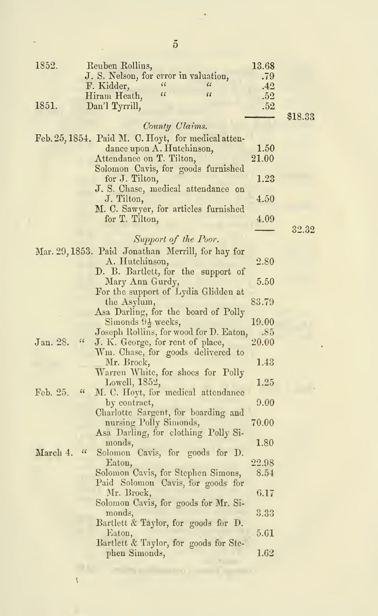| 1852.              | Reuben Rollins,                                                            | 13.68        |           |
|--------------------|----------------------------------------------------------------------------|--------------|-----------|
|                    | J. S. Nelson, for error in valuation,                                      | .79          |           |
|                    | $\epsilon$<br>F. Kidder,                                                   | .42          |           |
|                    | $\mathcal{C}$<br>$\mathfrak{c}\mathfrak{c}$<br>Hiram Heath,                | .52          |           |
| 1851.              | Dan'l Tyrrill,                                                             | $.52\,$      |           |
|                    |                                                                            |              | \$18.33   |
|                    | County Claims.                                                             |              |           |
|                    | Feb. 25, 1854. Paid M. C. Hoyt, for medical atten-                         |              |           |
|                    | dance upon A. Hutchinson,                                                  | $1.50\,$     |           |
|                    | Attendance on T. Tilton,<br>Solomon Cavis, for goods furnished             | 21.00        |           |
|                    | for J. Tilton,                                                             | 1.23         |           |
|                    | J. S. Chase, medical attendance on                                         |              |           |
|                    | J. Tilton,                                                                 | 4.50         |           |
|                    | M. C. Sawyer, for articles furnished                                       |              |           |
|                    | for T. Tilton,                                                             | 4.09         |           |
|                    |                                                                            |              | $32.32\,$ |
|                    | Support of the Poor.                                                       |              |           |
|                    | Mar. 29, 1853. Paid Jonathan Merrill, for hay for                          |              |           |
|                    | A. Hutchinson,                                                             | $2.80\,$     |           |
|                    | D. B. Bartlett, for the support of                                         |              |           |
|                    | Mary Ann Gurdy,                                                            | 5.50         |           |
|                    | For the support of Lydia Glidden at                                        |              |           |
|                    | the Asylum,                                                                | 83.79        |           |
|                    | Asa Darling, for the board of Polly                                        |              |           |
|                    | Simonds 94 weeks,                                                          | $19.00\,$    |           |
| Jan. 28.<br>$\,66$ | Joseph Rollins, for wood for D. Eaton,<br>J. K. George, for rent of place, | .85<br>20.00 |           |
|                    | Wm. Chase, for goods delivered to                                          |              |           |
|                    | Mr. Brock,                                                                 | 1.43         |           |
|                    | Warren White, for shoes for Polly                                          |              |           |
|                    | Lowell, 1852,                                                              | 1.25         |           |
| Feb. 25.<br>66     | M. C. Hoyt, for medical attendance                                         |              |           |
|                    | by contract,                                                               | 9.00         |           |
|                    | Charlotte Sargent, for boarding and                                        |              |           |
|                    | nursing Polly Simonds,                                                     | 70.00        |           |
|                    | Asa Darling, for clothing Polly Si-                                        |              |           |
| 66                 | monds,                                                                     | 1.80         |           |
| March 4.           | Solomon Cavis, for goods for D.<br>Eaton,                                  | 22.98        |           |
|                    | Solomon Cavis, for Stephen Simons,                                         | 8.54         |           |
|                    | Paid Solomon Cavis, for goods for                                          |              |           |
|                    | Mr. Brock,                                                                 | 6.17         |           |
|                    | Solomon Cavis, for goods for Mr. Si-                                       |              |           |
|                    | monds,                                                                     | 3.33         |           |
|                    | Bartlett & Taylor, for goods for D.                                        |              |           |
|                    | Eaton,                                                                     | 5.61         |           |
|                    | Bartlett & Taylor, for goods for Ste-                                      |              |           |
|                    | phen Simonds,                                                              | $1.62\,$     |           |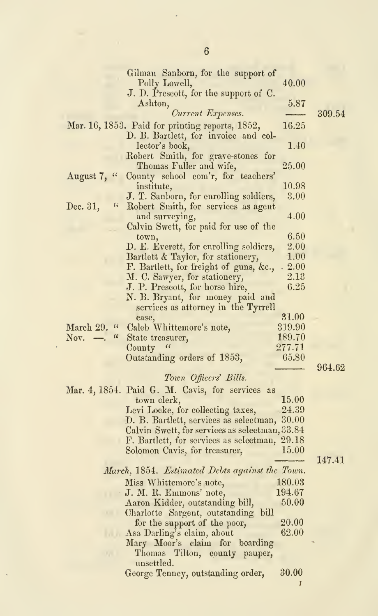|                                  | Gilman Sanborn, for the support of                      |               |        |
|----------------------------------|---------------------------------------------------------|---------------|--------|
|                                  | Polly Lowell,                                           | 40.00         |        |
|                                  | J. D. Prescott, for the support of C.                   |               |        |
|                                  | Ashton,                                                 | 5.87          |        |
|                                  | Current Expenses.                                       |               | 309.54 |
|                                  | Mar. 16, 1853. Paid for printing reports, 1852,         | $16.25\,$     |        |
|                                  | D. B. Bartlett, for invoice and col-                    |               |        |
|                                  | lector's book,                                          | $1.40\,$      |        |
|                                  | Robert Smith, for grave-stones for                      |               |        |
|                                  | Thomas Fuller and wife,                                 | $25.00\,$     |        |
| August 7, "                      | County school com'r, for teachers'                      |               |        |
|                                  | institute,                                              | $10.98\,$     |        |
|                                  | J. T. Sanborn, for enrolling soldiers,                  | $3.00\,$      |        |
| $\epsilon\,\epsilon$<br>Dec. 31, | Robert Smith, for services as agent                     |               |        |
|                                  |                                                         | 4.00          |        |
|                                  | and surveying,<br>Calvin Swett, for paid for use of the |               |        |
|                                  |                                                         | 6.50          |        |
|                                  | town,<br>D. E. Everett, for enrolling soldiers,         | $2.00\,$      |        |
|                                  | Bartlett & Taylor, for stationery,                      | $1.00\,$      |        |
|                                  | F. Bartlett, for freight of guns, &c.,                  | $\ldots 2.00$ |        |
|                                  |                                                         | 2.13          |        |
|                                  | M. C. Sawyer, for stationery,                           | 6.25          |        |
|                                  | J. P. Prescott, for horse hire,                         |               |        |
|                                  | N. B. Bryant, for money paid and                        |               |        |
|                                  | services as attorney in the Tyrrell                     | $31.00\,$     |        |
| March 29. $\%$                   | case,                                                   | 319.90        |        |
| $\epsilon$                       | Caleb Whittemore's note,                                | 189.70        |        |
| Nov.                             | State treasurer,                                        | 277.71        |        |
|                                  | <b>County</b><br>Outstanding orders of 1853,            | 65.80         |        |
|                                  |                                                         |               | 964.62 |
|                                  | Town Officers' Bills.                                   |               |        |
|                                  |                                                         |               |        |
|                                  | Mar. 4, 1854. Paid G. M. Cavis, for services as         |               |        |
|                                  | town clerk,                                             | $15.00\,$     |        |
|                                  | Levi Locke, for collecting taxes,                       | $24.39\,$     |        |
|                                  | D. B. Bartlett, services as selectman, 30.00            |               |        |
|                                  | Calvin Swett, for services as selectman, 33.84          |               |        |
|                                  | F. Bartlett, for services as selectman, 29.18           |               |        |
|                                  | Solomon Cavis, for treasurer,                           | 15.00         |        |
|                                  |                                                         |               | 147.41 |
|                                  | March, 1854. Estimated Debts against the Town.          |               |        |
|                                  | Miss Whittemore's note,                                 | 180.03        |        |
|                                  | J. M. R. Emmons' note,                                  | 194.67        |        |
|                                  | Aaron Kidder, outstanding bill,                         | 50.00         |        |
|                                  | Charlotte Sargent, outstanding bill                     |               |        |
|                                  | for the support of the poor,                            | $20.00\,$     |        |
|                                  | Asa Darling's claim, about                              | 62.00         |        |
|                                  | Mary Moor's claim for boarding                          |               |        |
|                                  | Thomas Tilton, county pauper,                           |               |        |
|                                  | unsettled.                                              |               |        |
|                                  | George Tenney, outstanding order,                       | 30.00         |        |
|                                  |                                                         |               |        |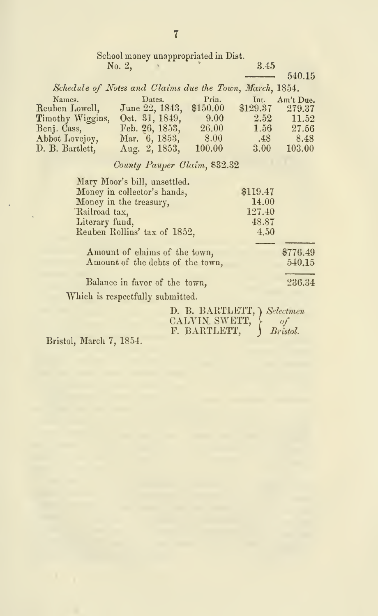| School money unappropriated in Dist.                    |                                  |  |                              |                             |           |
|---------------------------------------------------------|----------------------------------|--|------------------------------|-----------------------------|-----------|
|                                                         | No. $2,$                         |  |                              | 3.45                        |           |
|                                                         |                                  |  |                              |                             | 540.15    |
| Schedule of Notes and Claims due the Town, March, 1854. |                                  |  |                              |                             |           |
| Names.                                                  | Dates.                           |  | Prin.                        | Int.                        | Am't Due. |
| Reuben Lowell,                                          | June 22, 1843,                   |  | \$150.00                     | \$129.37                    | 279.37    |
| Timothy Wiggins,                                        | Oct. 31, 1849,                   |  | 9.00                         | 2.52                        | 11.52     |
| Benj. Cass,                                             | Feb. 26, 1853,                   |  | 26.00                        | 1.56                        | 27.56     |
| Abbot Lovejoy,                                          | Mar. 6, 1853,                    |  | 8.00                         | .48                         | 8.48      |
| D. B. Bartlett,                                         | Aug. 2, 1853,                    |  | 100.00                       | 3.00                        | 103.00    |
|                                                         |                                  |  | County Pauper Claim, \$32.32 |                             |           |
|                                                         | Mary Moor's bill, unsettled.     |  |                              |                             |           |
|                                                         | Money in collector's hands,      |  |                              | \$119.47                    |           |
|                                                         | Money in the treasury,           |  |                              | 14.00                       |           |
| Railroad tax,                                           |                                  |  |                              | 127.40                      |           |
|                                                         |                                  |  |                              | 48.87                       |           |
| Literary fund,                                          |                                  |  |                              |                             |           |
|                                                         | Reuben Rollins' tax of 1852,     |  |                              | 4.50                        |           |
|                                                         | Amount of claims of the town,    |  |                              |                             | \$776.49  |
|                                                         | Amount of the debts of the town, |  |                              |                             | 540.15    |
|                                                         |                                  |  |                              |                             |           |
|                                                         | Balance in favor of the town,    |  |                              |                             | 236.34    |
| Which is respectfully submitted.                        |                                  |  |                              |                             |           |
|                                                         |                                  |  |                              | D. B. BARTLETT, ) Selectmen |           |
|                                                         |                                  |  | CALVIN. SWETT,               |                             |           |
|                                                         |                                  |  | F. BARTLETT,                 |                             | Bristol.  |
| $Pwidth = Ntotal$ $7 - 1951$                            |                                  |  |                              |                             |           |

Bristol, March 7, 1854.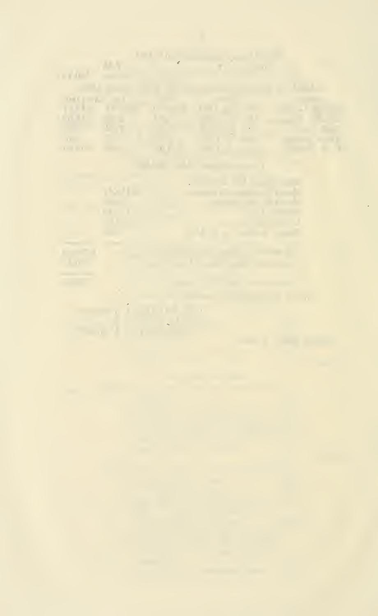ż, **CERAM POLIT**  $\mathcal{L}^{\mathcal{L}}$  $\mathcal{X}$  . l,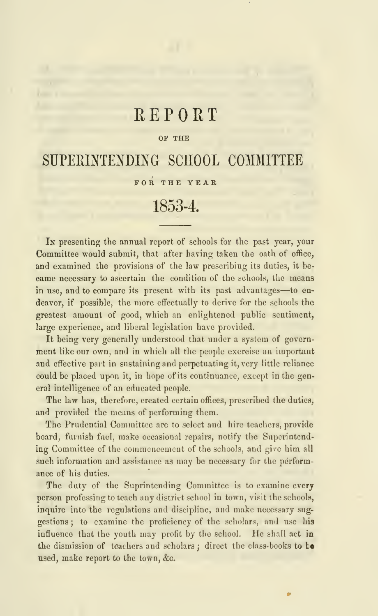### REPORT

#### OP THE

### SUPERINTENDING SCHOOL COMMITTEE

### FOR THE YEAR

### 1853-4.

In presenting the annual report of schools for the past year, your Committee would submit, that after having taken the oath of office, and examined the provisions of the law prescribing its duties, it be came necessary to ascertain the condition of the schools, the means in use, and to compare its present with its past advantages—to en deavor, if possible, the more effectually to derive for the schools the greatest amount of good, which an enlightened public sentiment, large experience, and liberal legislation have provided.

It being very generally understood that under a system of govern ment like our own, and in which all the people exercise an important and effective part in sustaining and perpetuating it, very little reliance could be placed upon it, in hope of its continuance, except in the general intelligence of an educated people.

The law has, therefore, created certain offices, prescribed the duties, and provided the means of performing them.

The Prudential Committee are to select and hire teachers, provide board, furnish fuel, make occasional repairs, notify the Superintending Committee of the commencement of the schools, and give him all such information and assistance as may be necessary for the performance of his duties.

The duty of the Suprintending Committee is to examine every person professing to teach any district school in town, visit the schools, inquire into the regulations and discipline, and make necessary suggestions ; to examine the proficiency of the scholars, and use his influence that the youth may profit by the school. He shall act in the dismission of teachers and scholars ; direct the class-books to to used, make report to the town, &c.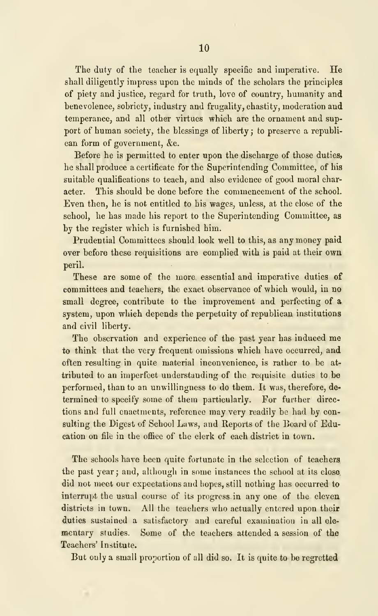The duty of the teacher is equally specific and imperative. He shall diligently impress upon the minds of the scholars the principles of piety and justice, regard for truth, love of country, humanity and benevolence, sobriety, industry and frugality, chastity, moderation and temperance, and all other virtues which are the ornament and support of human society, the blessings of liberty ; to preserve a republi can form of government, &c.

Before he is permitted to enter upon the discharge of those duties, he shall produce a certificate for the Superintending Committee, of his suitable qualifications to teach, and also evidence of good moral character. This should be done before the commencement of the school. Even then, he is not entitled to his wages, unless, at the close of the school, he has made his report to the Superintending Committee, as by the register which is furnished him.

Prudential Committees should look well to this, as any money paid over before these requisitions are complied with is paid at their own peril.

These are some of the more essential and imperative duties of committees and teachers, the exact observance of which would, in no small degree, contribute to the improvement and perfecting of a system, upon which depends the perpetuity of republican institutions and civil liberty.

The observation and experience of the past year has induced me to think that the very frequent omissions which have occurred, and often resulting in quite material inconvenience, is rather to be at tributed to an imperfect understanding of the requisite duties to be performed, than to an unwillingness to do them. It was, therefore, de termined to specify some of them particularly. For further direc tions and full enactments, reference may very readily be had by consulting the Digest of School Laws, and Reports of the Board of Education on file in the office of the clerk of each district in town.

The schools have been quite fortunate in the selection of teachers the past year; and, although in some instances the school at its close did not meet our expectations and liopes, still nothing has occurred to interrupt the usual course of its progress in any one of the eleven districts in town. All the teachers who actually entered upon their duties sustained a satisfactory and careful examination in all ele mentary studies. Some of the teachers attended a session of the Teachers' Institute.

But only a small proportion of all did so. It is quite to be regretted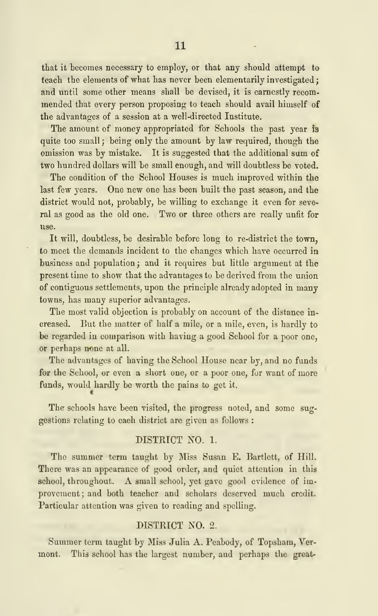that it becomes necessary to employ, or that any should attempt to teach the elements of what has never been elementarily investigated and until some other means shall be devised, it is earnestly recom mended that every person proposing to teach should avail himself of the advantages of a session at a well-directed Institute.

The amount of money appropriated for Schools the past year is quite too small; being only the amount by law required, though the omission was by mistake. It is suggested that the additional sum of two hundred dollars will be small enough, and will doubtless be voted.

The condition of the School Houses is much improved within the last few years. One new one has been built the past season, and the district would not, probably, be willing to exchange it even for several as good as the old one. Two or three others are really unfit for use.

It will, doubtless, be desirable before long to re-district the town, to meet the demands incident to the changes which have occurred in business and population ; and it requires but little argument at the present time to show that the advantages to be derived from the union of contiguous settlements, upon the principle already adopted in many towns, has many superior advantages.

The most valid objection is probably on account of the distance increased. But the matter of half a mile, or a mile, even, is hardly to be regarded in comparison with having a good School for a poor one, or perhaps none at all.

The advantages of having the School House near by, and no funds for the School, or even a short one, or a poor one, for want of more funds, would hardly be worth the pains to get it.

The schools have been visited, the progress noted, and some suggestions relating to each district are given as follows :

### DISTRICT NO. 1.

The summer term taught by Miss Susan E. Bartlett, of Hill. There was an appearance of good order, and quiet attention in this school, throughout. A small school, yet gave good evidence of im provement; and both teacher and scholars deserved much credit. Particular attention was given to reading and spelling.

### DISTRICT NO. 2.

Summer term taught by Miss Julia A. Peabody, of Topsham, Ver mont. This school has the largest number, and perhaps the great-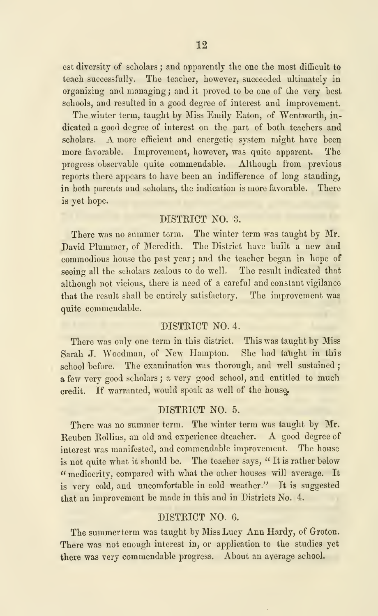est diversity of scholars ; and apparently the one the most difficult to teach successfully. The teacher, however, succeeded ultimately in organizing and managing ; and it proved to be one of the very best schools, and resulted in a good degree of interest and improvement.

The winter term, taught by Miss Emily Eaton, of Wentworth, in dicated a good degree of interest on the part of both teachers and scholars. A more efficient and energetic system might have been more favorable. Improvement, however, was quite apparent. The progress observable quite commendable. Although from previous reports there appears to have been an indifference of long standing, in both parents and scholars, the indication is more favorable. There is yet hope.

### DISTRICT NO. 3.

There was no summer term. The winter term was taught by Mr. David Plummer, of Meredith. The District have built <sup>a</sup> new and commodious house the past year ; and the teacher began in hope of seeing all the scholars zealous to do well. The result indicated that although not vicious, there is need of a careful and constant vigilance that the result shall be entirely satisfactory. The improvement was quite commendable.

### DISTRICT NO. 4.

There was only one term in this district. This was taught by Miss Sarah J. Woodman, of New Hampton. She had taught in this school before. The examination was thorough, and well sustained; <sup>a</sup> few very good scholars ; <sup>a</sup> very good school, and entitled to much credit. If warranted, would speak as well of the house^

#### DISTRICT NO. 5.

There was no summer term. The winter term was taught by Mr. Reuben Rollins, an old and experience dteacher. A good degree of interest was manifested, and commendable improvement. The house is not quite what it should be. The teacher says, "It is rather below " mediocrity, compared with what the other houses will average. It is very cold, and uncomfortable in cold weather." It is suggested that an improvement be made in this and in Districts No. 4.

### DISTRICT NO. G.

The summer term was taught by Miss Lucy Ann Hardy, of Groton. There was not enough interest in, or application to the studies yet there was very commendable progress. About an average school.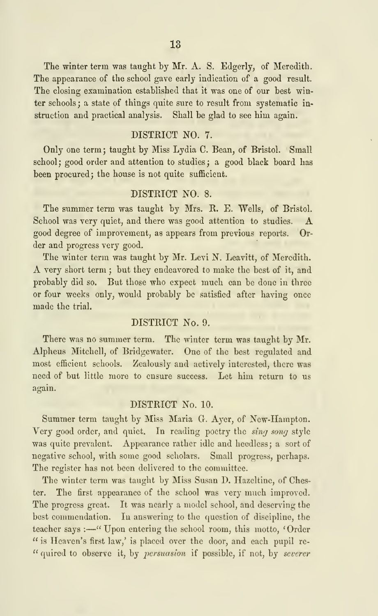The winter term was taught by Mr. A. S. Edgerly, of Meredith. The appearance of the school gave early indication of a good result. The closing examination established that it was one of our best winter schools ; a state of things quite sure to result from systematic in struction and practical analysis. Shall be glad to see him again.

### DISTRICT NO. 7.

Only one term; taught by Miss Lydia C. Bean, of Bristol. Small school; good order and attention to studies; a good black board has been procured; the house is not quite sufficient.

### DISTRICT NO. 8.

The summer term was taught by Mrs. R. E. Wells, of Bristol. School was very quiet, and there was good attention to studies. A good degree of improvement, as appears from previous reports. Order and progress very good.

The winter term was taught by Mr. Levi N. Leavitt, of Meredith. A very short term ; but they endeavored to make the best of it, and probably did so. But those who expect much can be done in three or four weeks only, would probably be satisfied after having once made the trial.

### DISTRICT No. 9.

There was no summer term. The winter term was taught by Mr. Alpheus Mitchell, of Bridgewater. One of the best regulated and most efficient schools. Zealously and actively interested, there was need of but little more to ensure success. Let him return to us again.

#### DISTRICT No. 10.

Summer term taught by Miss Maria G. Ayer, of New-Hampton. Very good order, and quiet. In reading poetry the sing song style was quite prevalent. Appearance rather idle and heedless; a sort of negative school, with some good scholars. Small progress, perhaps. The register has not been delivered to the committee.

The winter term was taught by Miss Susan D. Hazeltine, of Chester. The first appearance of the school was very much improved. The progress great. It was nearly a model school, and deserving the best commendation. In answering to the question of discipline, the teacher says :- " Upon entering the school room, this motto, 'Order " is Heaven's first law,' is placed over the door, and each pupil re $u$  quired to observe it, by *persuasion* if possible, if not, by *severer*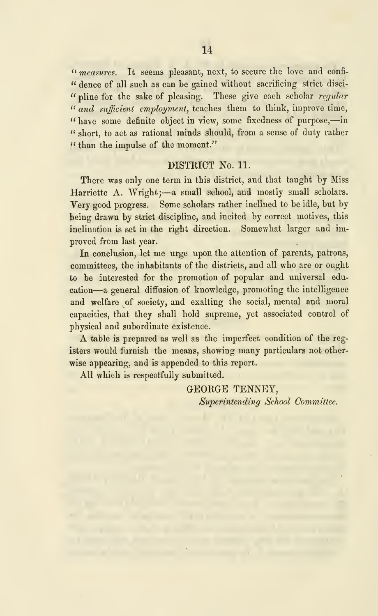$"measures.$  It seems pleasant, next, to secure the love and confi-" dence of all such as can be gained without sacrificing strict disci-" pline for the sake of pleasing. These give each scholar regular  $a$  and sufficient employment, teaches them to think, improve time, <sup>11</sup> have some definite object in view, some fixedness of purpose,—in " short, to act as rational minds should, from a sense of duty rather " than the impulse of the moment."

### DISTRICT No. 11.

There was only one term in this district, and that taught by Miss Harriette A. Wright;-a small school, and mostly small scholars. Very good progress. Some scholars rather inclined to be idle, but by being drawn by strict discipline, and incited by correct motives, this inclination is set in the right direction. Somewhat larger and im proved from last year.

In conclusion, let me urge upon the attention of parents, patrons, committees, the inhabitants of the districts, and all who are or ought to be interested for the promotion of popular and universal education—<sup>a</sup> general diffusion of knowledge, promoting the intelligence and welfare of society, and exalting the social, mental and moral capacities, that they shall hold supreme, yet associated control of physical and subordinate existence.

A table is prepared as well as the imperfect condition of the registers would furnish the means, showing many particulars not other wise appearing, and is appended to this report.

All which is respectfully submitted.

GEORGE TENNEY, Superintending School Committee.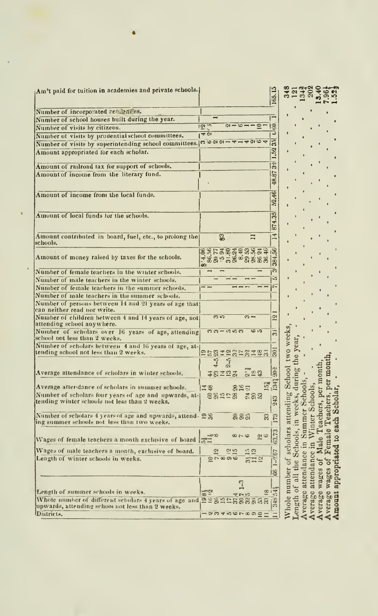| Am't paid for tuition in academies and private schools.                                                  |                                                              | <b>65.</b>                      | $134$<br>$34$                                                                                            |
|----------------------------------------------------------------------------------------------------------|--------------------------------------------------------------|---------------------------------|----------------------------------------------------------------------------------------------------------|
| Number of incorporated realingles.                                                                       |                                                              |                                 |                                                                                                          |
| Number of school houses built during the year.                                                           |                                                              |                                 |                                                                                                          |
| Number of visits by citizens.                                                                            | $\frac{1}{2}$<br>$\alpha - \omega -$                         | ١ዴ                              |                                                                                                          |
| Number of visits by prudential school committees.                                                        | न ०                                                          |                                 |                                                                                                          |
| Number of visits by superintending school committees. $\infty$ $\infty$ $\infty$                         |                                                              | $\overline{35}$                 |                                                                                                          |
| Amount appropriated for each scholar.                                                                    |                                                              | 1.52                            |                                                                                                          |
| Amount of railroad tax for support of schools.                                                           |                                                              | $\overline{\widehat{5}}$        |                                                                                                          |
| Amount of income from the literary fund.                                                                 |                                                              | 87<br>48.                       |                                                                                                          |
| Amount of income from the local funds.                                                                   |                                                              | 52.46                           |                                                                                                          |
| Amount of local funds for the schools.                                                                   |                                                              | $\overline{\mathbb{E}}$<br>874. |                                                                                                          |
| Amount contributed in board, fuel, etc., to prolong the<br>schools.                                      | 品                                                            | 4                               |                                                                                                          |
| Amount of money raised by taxes for the schools.                                                         | 32538398839<br>జీ ఇ ం <del>వ</del> ఇ తీ ఇ ఇ                  | 15<br>384.                      |                                                                                                          |
| Number of female teachers in the winter schools,                                                         |                                                              | $\overline{\mathfrak{S}}$       |                                                                                                          |
| Number of male teachers in the winter schools.                                                           |                                                              | 142                             |                                                                                                          |
| Number of female teachers in the summer schools.                                                         |                                                              | $\overline{ }$                  |                                                                                                          |
| Number of male teachers in the summer schools.                                                           |                                                              |                                 |                                                                                                          |
| Number of persons between 14 and 21 years of age that<br>can neither read nor write.                     |                                                              |                                 |                                                                                                          |
| Number of children hetween 4 and 14 years of age, not<br>attending school anywhere.                      | $\frac{1}{2}$<br>$\infty$ $-$                                | $\tilde{S}$                     |                                                                                                          |
| Number of scholars over 16 years of age, attending<br>school not less than 2 weeks.                      | $\omega\omega$ - $\omega\approx\omega$<br>$\frac{1}{2}$      | ౚ                               |                                                                                                          |
| Number of scholars between 4 and 16 years of age, at-<br>tending school not less than 2 weeks.           | <b>Abarakhara</b> a                                          | 18                              | two weeks<br>year                                                                                        |
|                                                                                                          | 25                                                           | $\overline{202}$                |                                                                                                          |
| Average attendance of scholars in winter schools.                                                        | $\tilde{\Omega} \cong \mathbb{C}$<br><b>HAIRE</b>            |                                 | School<br>durin                                                                                          |
| Average attendance of scholars in summer schools.                                                        | 53<br>827<br>79                                              | 1343                            |                                                                                                          |
| Number of scholars four years of age and upwards, at-<br>tending winter schools not less than 2 weeks.   | 88528<br>223                                                 | 243                             | per mon<br>School<br>attending<br>weeks,                                                                 |
| Number of scholars 4 years of age and upwards, attend- 으응<br>ing summer schools not less than two weeks. | និនិនិ<br>$\mathbb{S}^2$                                     | 173                             | eacher<br>Summer                                                                                         |
| Wages of female teachers a month exclusive of board and                                                  | $-10120$<br>$\sim$                                           | 63.73                           | scholars<br>School<br>ema<br>$\mathbf{Q}$<br>Ó<br>द्ध                                                    |
| Wages of male teachers a month, exclusive of board.                                                      | လယ                                                           | 67                              |                                                                                                          |
| Length of winter schools in weeks.                                                                       | $\circ$ $\circ$ $\circ$ $\circ$<br>$\mathbb{Z}$ $\mathbb{Z}$ | $\frac{1}{2}$                   | of<br>á<br>the                                                                                           |
|                                                                                                          |                                                              | is                              | appropriated<br>attendance<br>attendance<br>Whole number of<br>wages<br>wages<br>$\overline{\mathbf{a}}$ |
| Length of summer schools in weeks.                                                                       | 80 CM                                                        | $\frac{1}{2}$                   | of                                                                                                       |
| Whole number of different scholars 4 years of age and e S                                                | ದಿ ಜ                                                         |                                 |                                                                                                          |
| upwards, attending school not less than 2 weeks.                                                         |                                                              | 348                             | verage<br>verage<br>perage<br>verage<br><b>Lanomy</b><br>ength                                           |
| Districts.                                                                                               | $-2000000000$                                                |                                 |                                                                                                          |